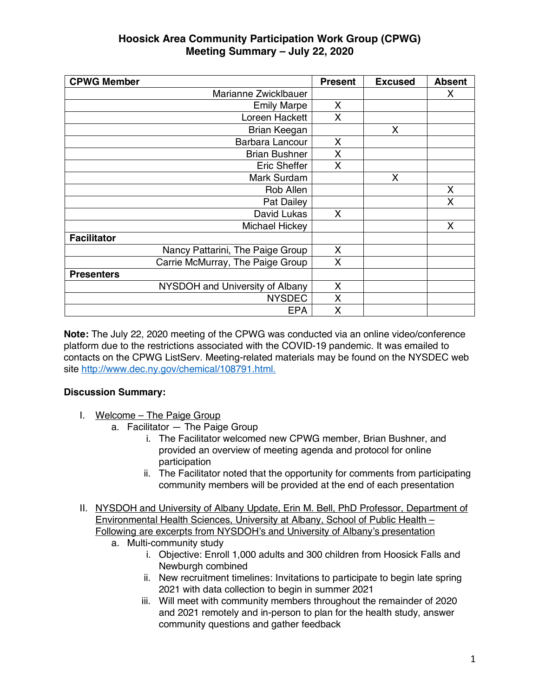| <b>CPWG Member</b>               | <b>Present</b> | <b>Excused</b> | <b>Absent</b> |
|----------------------------------|----------------|----------------|---------------|
| Marianne Zwicklbauer             |                |                | X             |
| <b>Emily Marpe</b>               | X              |                |               |
| Loreen Hackett                   | X              |                |               |
| Brian Keegan                     |                | X              |               |
| Barbara Lancour                  | X              |                |               |
| <b>Brian Bushner</b>             | X              |                |               |
| Eric Sheffer                     | $\mathsf{X}$   |                |               |
| Mark Surdam                      |                | X              |               |
| Rob Allen                        |                |                | X             |
| Pat Dailey                       |                |                | X             |
| David Lukas                      | X              |                |               |
| Michael Hickey                   |                |                | X             |
| <b>Facilitator</b>               |                |                |               |
| Nancy Pattarini, The Paige Group | X              |                |               |
| Carrie McMurray, The Paige Group | X              |                |               |
| <b>Presenters</b>                |                |                |               |
| NYSDOH and University of Albany  | X              |                |               |
| <b>NYSDEC</b>                    | X              |                |               |
| <b>EPA</b>                       | X              |                |               |

**Note:** The July 22, 2020 meeting of the CPWG was conducted via an online video/conference platform due to the restrictions associated with the COVID-19 pandemic. It was emailed to contacts on the CPWG ListServ. Meeting-related materials may be found on the NYSDEC web site http://www.dec.ny.gov/chemical/108791.html.

#### **Discussion Summary:**

- I. Welcome The Paige Group
	- a. Facilitator The Paige Group
		- i. The Facilitator welcomed new CPWG member, Brian Bushner, and provided an overview of meeting agenda and protocol for online participation
		- ii. The Facilitator noted that the opportunity for comments from participating community members will be provided at the end of each presentation
- II. NYSDOH and University of Albany Update, Erin M. Bell, PhD Professor, Department of Environmental Health Sciences, University at Albany, School of Public Health – Following are excerpts from NYSDOH's and University of Albany's presentation
	- a. Multi-community study
		- i. Objective: Enroll 1,000 adults and 300 children from Hoosick Falls and Newburgh combined
		- ii. New recruitment timelines: Invitations to participate to begin late spring 2021 with data collection to begin in summer 2021
		- iii. Will meet with community members throughout the remainder of 2020 and 2021 remotely and in-person to plan for the health study, answer community questions and gather feedback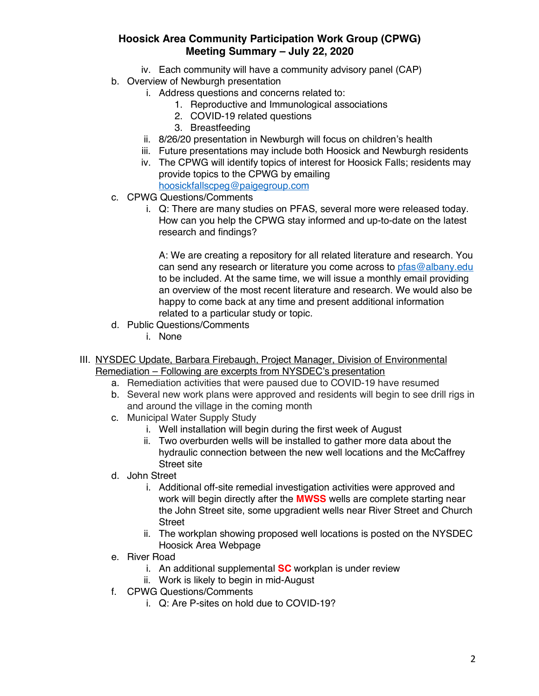- iv. Each community will have a community advisory panel (CAP)
- b. Overview of Newburgh presentation
	- i. Address questions and concerns related to:
		- 1. Reproductive and Immunological associations
		- 2. COVID-19 related questions
		- 3. Breastfeeding
	- ii. 8/26/20 presentation in Newburgh will focus on children's health
	- iii. Future presentations may include both Hoosick and Newburgh residents
	- iv. The CPWG will identify topics of interest for Hoosick Falls; residents may provide topics to the CPWG by emailing hoosickfallscpeg@paigegroup.com
- c. CPWG Questions/Comments
	- i. Q: There are many studies on PFAS, several more were released today. How can you help the CPWG stay informed and up-to-date on the latest research and findings?

A: We are creating a repository for all related literature and research. You can send any research or literature you come across to pfas@albany.edu to be included. At the same time, we will issue a monthly email providing an overview of the most recent literature and research. We would also be happy to come back at any time and present additional information related to a particular study or topic.

- d. Public Questions/Comments
	- i. None
- III. NYSDEC Update, Barbara Firebaugh, Project Manager, Division of Environmental Remediation – Following are excerpts from NYSDEC's presentation
	- a. Remediation activities that were paused due to COVID-19 have resumed
	- b. Several new work plans were approved and residents will begin to see drill rigs in and around the village in the coming month
	- c. Municipal Water Supply Study
		- i. Well installation will begin during the first week of August
		- ii. Two overburden wells will be installed to gather more data about the hydraulic connection between the new well locations and the McCaffrey Street site
	- d. John Street
		- i. Additional off-site remedial investigation activities were approved and work will begin directly after the **MWSS** wells are complete starting near the John Street site, some upgradient wells near River Street and Church **Street**
		- ii. The workplan showing proposed well locations is posted on the NYSDEC Hoosick Area Webpage
	- e. River Road
		- i. An additional supplemental **SC** workplan is under review
		- ii. Work is likely to begin in mid-August
	- f. CPWG Questions/Comments
		- i. Q: Are P-sites on hold due to COVID-19?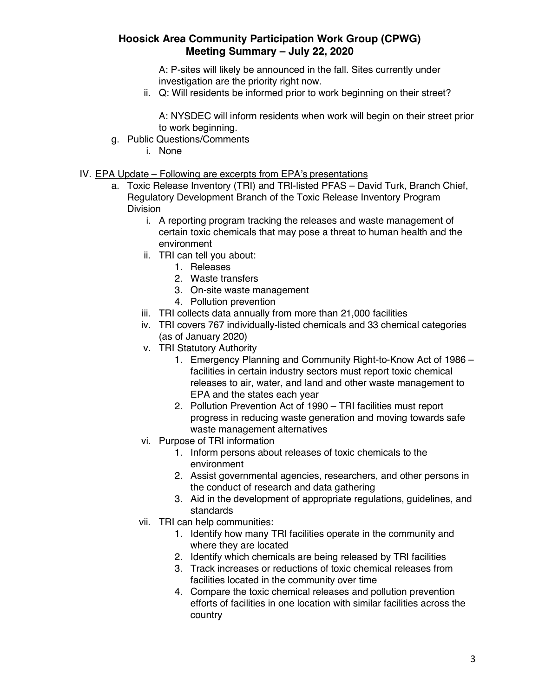A: P-sites will likely be announced in the fall. Sites currently under investigation are the priority right now.

ii. Q: Will residents be informed prior to work beginning on their street?

A: NYSDEC will inform residents when work will begin on their street prior to work beginning.

- g. Public Questions/Comments
	- i. None
- IV. EPA Update Following are excerpts from EPA's presentations
	- a. Toxic Release Inventory (TRI) and TRI-listed PFAS David Turk, Branch Chief, Regulatory Development Branch of the Toxic Release Inventory Program Division
		- i. A reporting program tracking the releases and waste management of certain toxic chemicals that may pose a threat to human health and the environment
		- ii. TRI can tell you about:
			- 1. Releases
			- 2. Waste transfers
			- 3. On-site waste management
			- 4. Pollution prevention
		- iii. TRI collects data annually from more than 21,000 facilities
		- iv. TRI covers 767 individually-listed chemicals and 33 chemical categories (as of January 2020)
		- v. TRI Statutory Authority
			- 1. Emergency Planning and Community Right-to-Know Act of 1986 facilities in certain industry sectors must report toxic chemical releases to air, water, and land and other waste management to EPA and the states each year
			- 2. Pollution Prevention Act of 1990 TRI facilities must report progress in reducing waste generation and moving towards safe waste management alternatives
		- vi. Purpose of TRI information
			- 1. Inform persons about releases of toxic chemicals to the environment
			- 2. Assist governmental agencies, researchers, and other persons in the conduct of research and data gathering
			- 3. Aid in the development of appropriate regulations, guidelines, and standards
		- vii. TRI can help communities:
			- 1. Identify how many TRI facilities operate in the community and where they are located
			- 2. Identify which chemicals are being released by TRI facilities
			- 3. Track increases or reductions of toxic chemical releases from facilities located in the community over time
			- 4. Compare the toxic chemical releases and pollution prevention efforts of facilities in one location with similar facilities across the country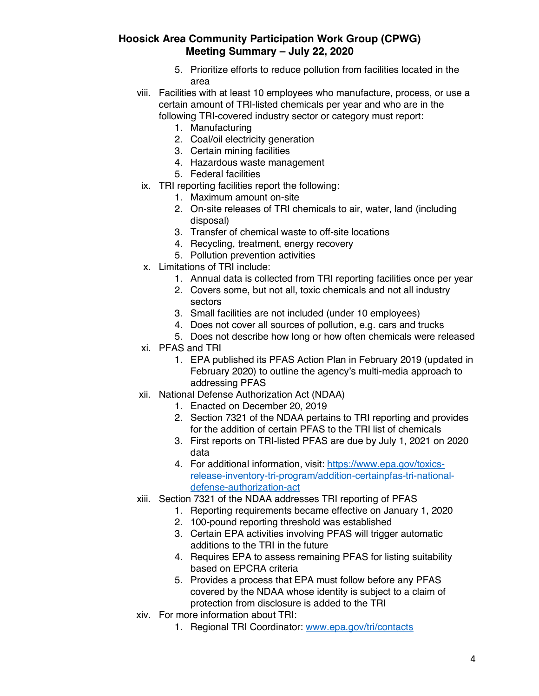- 5. Prioritize efforts to reduce pollution from facilities located in the area
- viii. Facilities with at least 10 employees who manufacture, process, or use a certain amount of TRI-listed chemicals per year and who are in the following TRI-covered industry sector or category must report:
	- 1. Manufacturing
	- 2. Coal/oil electricity generation
	- 3. Certain mining facilities
	- 4. Hazardous waste management
	- 5. Federal facilities
	- ix. TRI reporting facilities report the following:
		- 1. Maximum amount on-site
			- 2. On-site releases of TRI chemicals to air, water, land (including disposal)
		- 3. Transfer of chemical waste to off-site locations
		- 4. Recycling, treatment, energy recovery
		- 5. Pollution prevention activities
	- x. Limitations of TRI include:
		- 1. Annual data is collected from TRI reporting facilities once per year
		- 2. Covers some, but not all, toxic chemicals and not all industry sectors
		- 3. Small facilities are not included (under 10 employees)
		- 4. Does not cover all sources of pollution, e.g. cars and trucks
		- 5. Does not describe how long or how often chemicals were released
	- xi. PFAS and TRI
		- 1. EPA published its PFAS Action Plan in February 2019 (updated in February 2020) to outline the agency's multi-media approach to addressing PFAS
- xii. National Defense Authorization Act (NDAA)
	- 1. Enacted on December 20, 2019
	- 2. Section 7321 of the NDAA pertains to TRI reporting and provides for the addition of certain PFAS to the TRI list of chemicals
	- 3. First reports on TRI-listed PFAS are due by July 1, 2021 on 2020 data
	- 4. For additional information, visit: https://www.epa.gov/toxicsrelease-inventory-tri-program/addition-certainpfas-tri-nationaldefense-authorization-act
- xiii. Section 7321 of the NDAA addresses TRI reporting of PFAS
	- 1. Reporting requirements became effective on January 1, 2020
	- 2. 100-pound reporting threshold was established
	- 3. Certain EPA activities involving PFAS will trigger automatic additions to the TRI in the future
	- 4. Requires EPA to assess remaining PFAS for listing suitability based on EPCRA criteria
	- 5. Provides a process that EPA must follow before any PFAS covered by the NDAA whose identity is subject to a claim of protection from disclosure is added to the TRI
- xiv. For more information about TRI:
	- 1. Regional TRI Coordinator: www.epa.gov/tri/contacts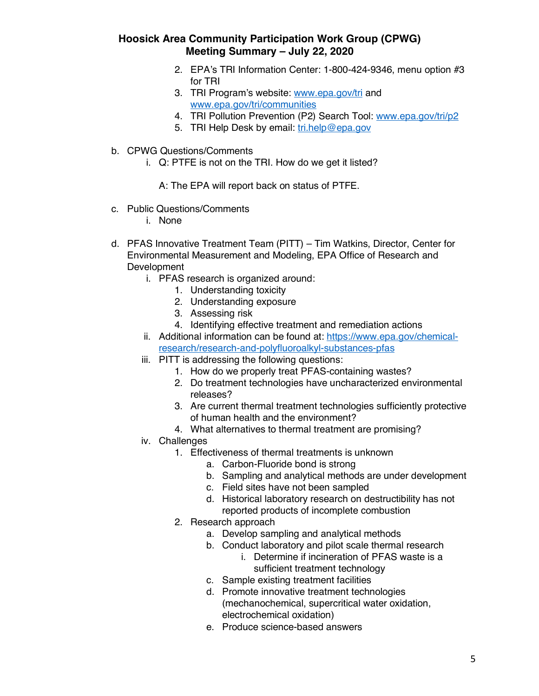- 2. EPA's TRI Information Center: 1-800-424-9346, menu option #3 for TRI
- 3. TRI Program's website: www.epa.gov/tri and www.epa.gov/tri/communities
- 4. TRI Pollution Prevention (P2) Search Tool: www.epa.gov/tri/p2
- 5. TRI Help Desk by email: tri.help@epa.gov
- b. CPWG Questions/Comments
	- i. Q: PTFE is not on the TRI. How do we get it listed?
		- A: The EPA will report back on status of PTFE.
- c. Public Questions/Comments
	- i. None
- d. PFAS Innovative Treatment Team (PITT) Tim Watkins, Director, Center for Environmental Measurement and Modeling, EPA Office of Research and Development
	- i. PFAS research is organized around:
		- 1. Understanding toxicity
		- 2. Understanding exposure
		- 3. Assessing risk
		- 4. Identifying effective treatment and remediation actions
	- ii. Additional information can be found at: https://www.epa.gov/chemicalresearch/research-and-polyfluoroalkyl-substances-pfas
	- iii. PITT is addressing the following questions:
		- 1. How do we properly treat PFAS-containing wastes?
		- 2. Do treatment technologies have uncharacterized environmental releases?
		- 3. Are current thermal treatment technologies sufficiently protective of human health and the environment?
		- 4. What alternatives to thermal treatment are promising?
	- iv. Challenges
		- 1. Effectiveness of thermal treatments is unknown
			- a. Carbon-Fluoride bond is strong
			- b. Sampling and analytical methods are under development
			- c. Field sites have not been sampled
			- d. Historical laboratory research on destructibility has not reported products of incomplete combustion
		- 2. Research approach
			- a. Develop sampling and analytical methods
			- b. Conduct laboratory and pilot scale thermal research
				- i. Determine if incineration of PFAS waste is a sufficient treatment technology
			- c. Sample existing treatment facilities
			- d. Promote innovative treatment technologies (mechanochemical, supercritical water oxidation, electrochemical oxidation)
			- e. Produce science-based answers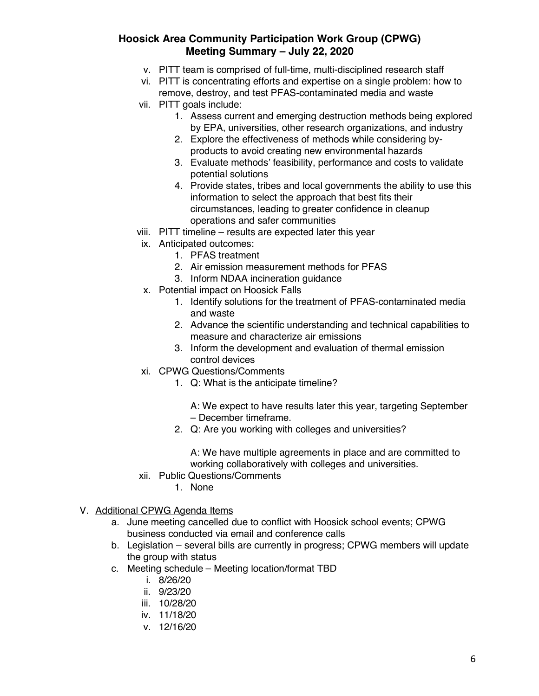- v. PITT team is comprised of full-time, multi-disciplined research staff
- vi. PITT is concentrating efforts and expertise on a single problem: how to remove, destroy, and test PFAS-contaminated media and waste
- vii. PITT goals include:
	- 1. Assess current and emerging destruction methods being explored by EPA, universities, other research organizations, and industry
	- 2. Explore the effectiveness of methods while considering byproducts to avoid creating new environmental hazards
	- 3. Evaluate methods' feasibility, performance and costs to validate potential solutions
	- 4. Provide states, tribes and local governments the ability to use this information to select the approach that best fits their circumstances, leading to greater confidence in cleanup operations and safer communities
- viii. PITT timeline results are expected later this year
- ix. Anticipated outcomes:
	- 1. PFAS treatment
	- 2. Air emission measurement methods for PFAS
	- 3. Inform NDAA incineration guidance
- x. Potential impact on Hoosick Falls
	- 1. Identify solutions for the treatment of PFAS-contaminated media and waste
	- 2. Advance the scientific understanding and technical capabilities to measure and characterize air emissions
	- 3. Inform the development and evaluation of thermal emission control devices
- xi. CPWG Questions/Comments
	- 1. Q: What is the anticipate timeline?
		- A: We expect to have results later this year, targeting September – December timeframe.
	- 2. Q: Are you working with colleges and universities?

A: We have multiple agreements in place and are committed to working collaboratively with colleges and universities.

- xii. Public Questions/Comments
	- 1. None

#### V. Additional CPWG Agenda Items

- a. June meeting cancelled due to conflict with Hoosick school events; CPWG business conducted via email and conference calls
- b. Legislation several bills are currently in progress; CPWG members will update the group with status
- c. Meeting schedule Meeting location/format TBD
	- i. 8/26/20
	- ii. 9/23/20
	- iii. 10/28/20
	- iv. 11/18/20
	- v. 12/16/20